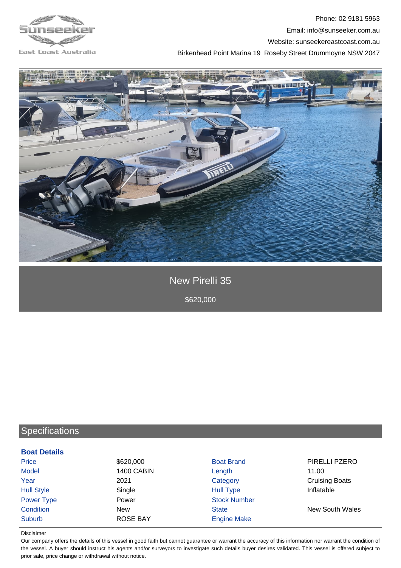

## Phone: 02 9181 5963 Email: info@sunseeker.com.au Website: sunseekereastcoast.com.au Birkenhead Point Marina 19 Roseby Street Drummoyne NSW 2047



New Pirelli 35

\$620,000

# **Specifications**

#### **Boat Details**

| Price             | \$620,000         | <b>Boat Brand</b>   | PIRELLI PZERO          |
|-------------------|-------------------|---------------------|------------------------|
| <b>Model</b>      | <b>1400 CABIN</b> | Length              | 11.00                  |
| Year              | 2021              | Category            | <b>Cruising Boats</b>  |
| <b>Hull Style</b> | Single            | <b>Hull Type</b>    | Inflatable             |
| Power Type        | Power             | <b>Stock Number</b> |                        |
| Condition         | <b>New</b>        | <b>State</b>        | <b>New South Wales</b> |
| <b>Suburb</b>     | <b>ROSE BAY</b>   | <b>Engine Make</b>  |                        |

#### Disclaimer

Our company offers the details of this vessel in good faith but cannot guarantee or warrant the accuracy of this information nor warrant the condition of the vessel. A buyer should instruct his agents and/or surveyors to investigate such details buyer desires validated. This vessel is offered subject to prior sale, price change or withdrawal without notice.